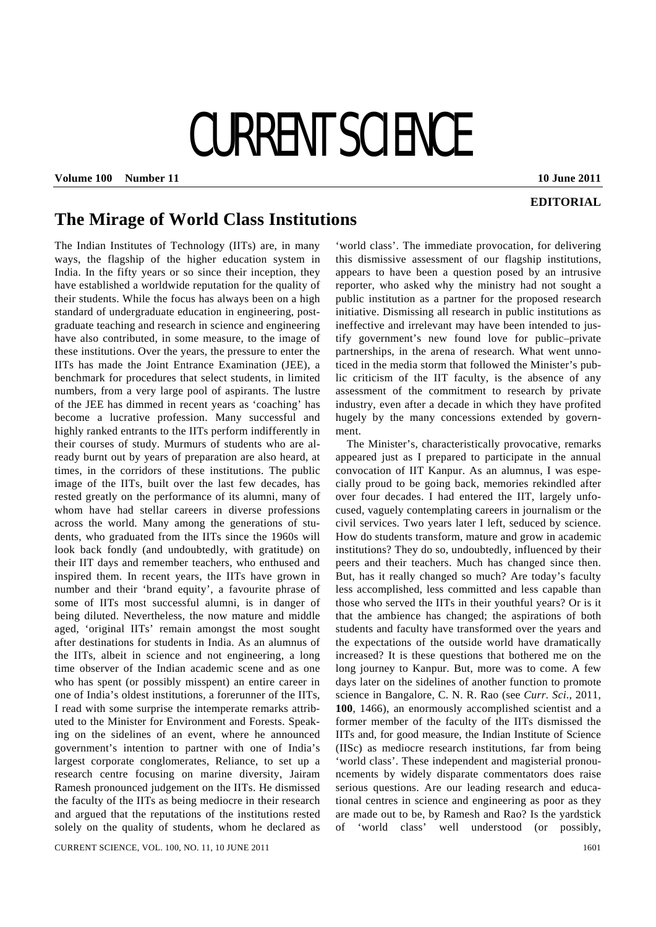## CURRENT SCIENCE

**Volume 100 Number 11 10 June 2011 10 June 2011** 

## **EDITORIAL**

## **The Mirage of World Class Institutions**

The Indian Institutes of Technology (IITs) are, in many ways, the flagship of the higher education system in India. In the fifty years or so since their inception, they have established a worldwide reputation for the quality of their students. While the focus has always been on a high standard of undergraduate education in engineering, postgraduate teaching and research in science and engineering have also contributed, in some measure, to the image of these institutions. Over the years, the pressure to enter the IITs has made the Joint Entrance Examination (JEE), a benchmark for procedures that select students, in limited numbers, from a very large pool of aspirants. The lustre of the JEE has dimmed in recent years as 'coaching' has become a lucrative profession. Many successful and highly ranked entrants to the IITs perform indifferently in their courses of study. Murmurs of students who are already burnt out by years of preparation are also heard, at times, in the corridors of these institutions. The public image of the IITs, built over the last few decades, has rested greatly on the performance of its alumni, many of whom have had stellar careers in diverse professions across the world. Many among the generations of students, who graduated from the IITs since the 1960s will look back fondly (and undoubtedly, with gratitude) on their IIT days and remember teachers, who enthused and inspired them. In recent years, the IITs have grown in number and their 'brand equity', a favourite phrase of some of IITs most successful alumni, is in danger of being diluted. Nevertheless, the now mature and middle aged, 'original IITs' remain amongst the most sought after destinations for students in India. As an alumnus of the IITs, albeit in science and not engineering, a long time observer of the Indian academic scene and as one who has spent (or possibly misspent) an entire career in one of India's oldest institutions, a forerunner of the IITs, I read with some surprise the intemperate remarks attributed to the Minister for Environment and Forests. Speaking on the sidelines of an event, where he announced government's intention to partner with one of India's largest corporate conglomerates, Reliance, to set up a research centre focusing on marine diversity, Jairam Ramesh pronounced judgement on the IITs. He dismissed the faculty of the IITs as being mediocre in their research and argued that the reputations of the institutions rested solely on the quality of students, whom he declared as

'world class'. The immediate provocation, for delivering this dismissive assessment of our flagship institutions, appears to have been a question posed by an intrusive reporter, who asked why the ministry had not sought a public institution as a partner for the proposed research initiative. Dismissing all research in public institutions as ineffective and irrelevant may have been intended to justify government's new found love for public–private partnerships, in the arena of research. What went unnoticed in the media storm that followed the Minister's public criticism of the IIT faculty, is the absence of any assessment of the commitment to research by private industry, even after a decade in which they have profited hugely by the many concessions extended by government.

 The Minister's, characteristically provocative, remarks appeared just as I prepared to participate in the annual convocation of IIT Kanpur. As an alumnus, I was especially proud to be going back, memories rekindled after over four decades. I had entered the IIT, largely unfocused, vaguely contemplating careers in journalism or the civil services. Two years later I left, seduced by science. How do students transform, mature and grow in academic institutions? They do so, undoubtedly, influenced by their peers and their teachers. Much has changed since then. But, has it really changed so much? Are today's faculty less accomplished, less committed and less capable than those who served the IITs in their youthful years? Or is it that the ambience has changed; the aspirations of both students and faculty have transformed over the years and the expectations of the outside world have dramatically increased? It is these questions that bothered me on the long journey to Kanpur. But, more was to come. A few days later on the sidelines of another function to promote science in Bangalore, C. N. R. Rao (see *Curr. Sci*., 2011, **100**, 1466), an enormously accomplished scientist and a former member of the faculty of the IITs dismissed the IITs and, for good measure, the Indian Institute of Science (IISc) as mediocre research institutions, far from being 'world class'. These independent and magisterial pronouncements by widely disparate commentators does raise serious questions. Are our leading research and educational centres in science and engineering as poor as they are made out to be, by Ramesh and Rao? Is the yardstick of 'world class' well understood (or possibly,